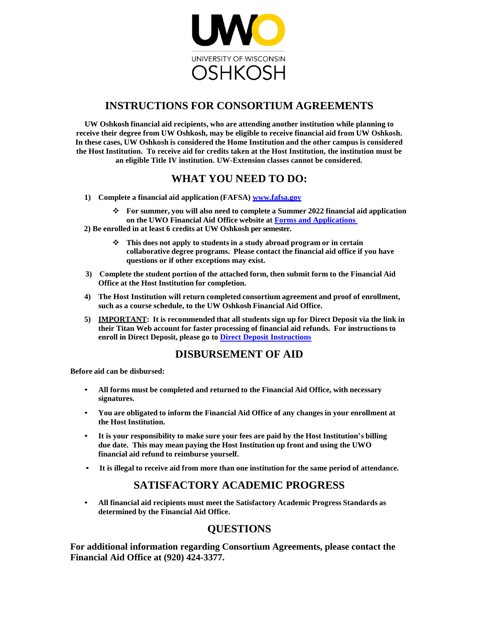

## **INSTRUCTIONS FOR CONSORTIUM AGREEMENTS**

**UW Oshkosh financial aid recipients, who are attending another institution while planning to receive their degree from UW Oshkosh, may be eligible to receive financial aid from UW Oshkosh. In these cases, UW Oshkosh is considered the Home Institution and the other campus is considered the Host Institution. To receive aid for credits taken at the Host Institution, the institution must be an eligible Title IV institution. UW-Extension classes cannot be considered.**

# **WHAT YOU NEED TO DO:**

- **1) Complete a financial aid application (FAFSA) www.fafsa.gov**
	- ❖ **For summer, you will also need to complete a Summer 2022 financial aid application on the UWO Financial Aid Office website at [Forms and Applications](https://uwosh.edu/financialaid/forms-and-applications/)**
- **2) Be enrolled in at least 6 credits at UW Oshkosh per semester.**
	- ❖ **This does not apply to students in a study abroad program or in certain collaborative degree programs. Please contact the financial aid office if you have questions or if other exceptions may exist.**
- **3) Complete the student portion of the attached form, then submit form to the Financial Aid Office at the Host Institution for completion.**
- **4) The Host Institution will return completed consortium agreement and proof of enrollment, such as a course schedule, to the UW Oshkosh Financial Aid Office.**
- **5) IMPORTANT: It is recommended that all students sign up for Direct Deposit via the link in their Titan Web account for faster processing of financial aid refunds. For instructions to enroll in Direct Deposit, please go to [Direct Deposit Instructions](https://uwosh.edu/finance-administration/student-financial-services/financial-self-service/direct-deposit/)**

## **DISBURSEMENT OF AID**

**Before aid can be disbursed:**

- **All forms must be completed and returned to the Financial Aid Office, with necessary signatures.**
- **You are obligated to inform the Financial Aid Office of any changes in your enrollment at the Host Institution.**
- **It is your responsibility to make sure your fees are paid by the Host Institution's billing due date. This may mean paying the Host Institution up front and using the UWO financial aid refund to reimburse yourself.**
- **It is illegal to receive aid from more than one institution for the same period of attendance.**

## **SATISFACTORY ACADEMIC PROGRESS**

• **All financial aid recipients must meet the Satisfactory Academic Progress Standards as determined by the Financial Aid Office.**

## **QUESTIONS**

**For additional information regarding Consortium Agreements, please contact the Financial Aid Office at (920) 424-3377.**